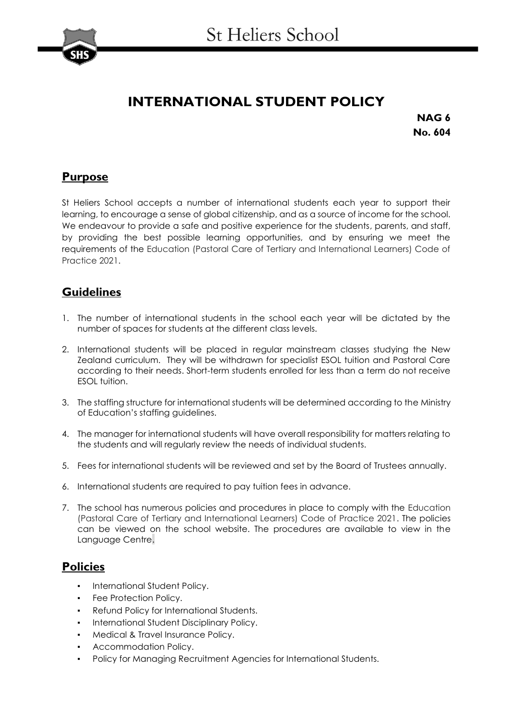

# **INTERNATIONAL STUDENT POLICY**

**NAG 6 No. 604**

# **Purpose**

St Heliers School accepts a number of international students each year to support their learning, to encourage a sense of global citizenship, and as a source of income for the school. We endeavour to provide a safe and positive experience for the students, parents, and staff, by providing the best possible learning opportunities, and by ensuring we meet the requirements of the Education (Pastoral Care of Tertiary and International Learners) Code of Practice 2021.

# **Guidelines**

- 1. The number of international students in the school each year will be dictated by the number of spaces for students at the different class levels.
- 2. International students will be placed in regular mainstream classes studying the New Zealand curriculum. They will be withdrawn for specialist ESOL tuition and Pastoral Care according to their needs. Short-term students enrolled for less than a term do not receive ESOL tuition.
- 3. The staffing structure for international students will be determined according to the Ministry of Education's staffing guidelines.
- 4. The manager for international students will have overall responsibility for matters relating to the students and will regularly review the needs of individual students.
- 5. Fees for international students will be reviewed and set by the Board of Trustees annually.
- 6. International students are required to pay tuition fees in advance.
- 7. The school has numerous policies and procedures in place to comply with the Education (Pastoral Care of Tertiary and International Learners) Code of Practice 2021. The policies can be viewed on the school website. The procedures are available to view in the Language Centre.

#### **Policies**

- **International Student Policy.**
- Fee Protection Policy.
- Refund Policy for International Students.
- International Student Disciplinary Policy.
- Medical & Travel Insurance Policy.
- Accommodation Policy.
- Policy for Managing Recruitment Agencies for International Students.